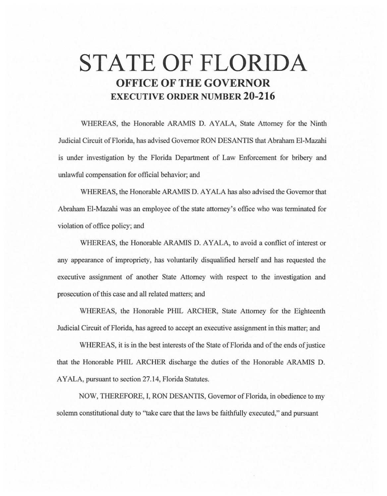## **STATE OF FLORIDA OFFICE OF THE GOVERNOR EXECUTIVE ORDER NUMBER 20-216**

WHEREAS, the Honorable ARAMIS D. AYALA, State Attorney for the Ninth Judicial Circuit of Florida, has advised Governor RON DESANTIS that Abraham EI-Mazahi is under investigation by the Florida Department of Law Enforcement for bribery and unlawful compensation for official behavior; and

WHEREAS, the Honorable ARAMIS D. AYALA has also advised the Governor that Abraham EI-Mazahi was an employee of the state attorney's office who was terminated for violation of office policy; and

WHEREAS, the Honorable ARAMIS D. AYALA, to avoid a conflict of interest or any appearance of impropriety, has voluntarily disqualified herself and has requested the executive assignment of another State Attorney with respect to the investigation and prosecution of this case and all related matters; and

WHEREAS, the Honorable PHIL ARCHER, State Attorney for the Eighteenth Judicial Circuit of Florida, has agreed to accept an executive assignment in this matter; and

WHEREAS, it is in the best interests of the State of Florida and of the ends of justice that the Honorable PHIL ARCHER discharge the duties of the Honorable ARAMIS D. AYALA, pursuant to section 27 .14, Florida Statutes.

NOW, THEREFORE, I, RON DESANTIS, Governor of Florida, in obedience to my solemn constitutional duty to "take care that the laws be faithfully executed," and pursuant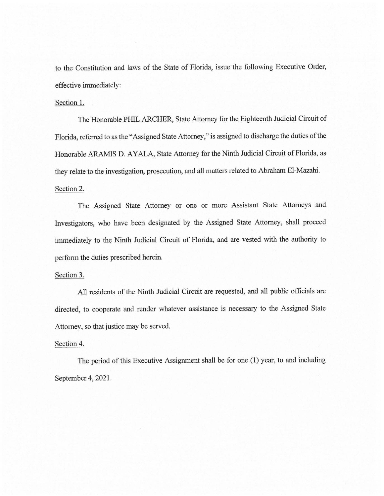to the Constitution and laws of the State of Florida, issue the following Executive Order, effective immediately:

## Section 1.

The Honorable PHIL ARCHER, State Attorney for the Eighteenth Judicial Circuit of Florida, referred to as the "Assigned State Attorney," is assigned to discharge the duties of the Honorable ARAMIS D. AYALA, State Attorney for the Ninth Judicial Circuit of Florida, as they relate to the investigation, prosecution, and all matters related to Abraham El-Mazahi. Section 2.

The Assigned State Attorney or one or more Assistant State Attorneys and Investigators, who have been designated by the Assigned State Attorney, shall proceed immediately to the Ninth Judicial Circuit of Florida, and are vested with the authority to perform the duties prescribed herein.

## Section 3.

All residents of the Ninth Judicial Circuit are requested, and all public officials are directed, to cooperate and render whatever assistance is necessary to the Assigned State Attorney, so that justice may be served.

## Section 4.

The period of this Executive Assignment shall be for one (1) year, to and including September 4, 2021.